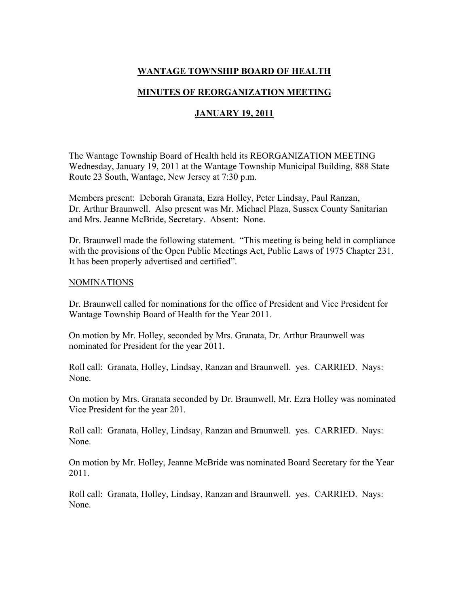# WANTAGE TOWNSHIP BOARD OF HEALTH

### MINUTES OF REORGANIZATION MEETING

### JANUARY 19, 2011

The Wantage Township Board of Health held its REORGANIZATION MEETING Wednesday, January 19, 2011 at the Wantage Township Municipal Building, 888 State Route 23 South, Wantage, New Jersey at 7:30 p.m.

Members present: Deborah Granata, Ezra Holley, Peter Lindsay, Paul Ranzan, Dr. Arthur Braunwell. Also present was Mr. Michael Plaza, Sussex County Sanitarian and Mrs. Jeanne McBride, Secretary. Absent: None.

Dr. Braunwell made the following statement. "This meeting is being held in compliance with the provisions of the Open Public Meetings Act, Public Laws of 1975 Chapter 231. It has been properly advertised and certified".

#### NOMINATIONS

Dr. Braunwell called for nominations for the office of President and Vice President for Wantage Township Board of Health for the Year 2011.

On motion by Mr. Holley, seconded by Mrs. Granata, Dr. Arthur Braunwell was nominated for President for the year 2011.

Roll call: Granata, Holley, Lindsay, Ranzan and Braunwell. yes. CARRIED. Nays: None.

On motion by Mrs. Granata seconded by Dr. Braunwell, Mr. Ezra Holley was nominated Vice President for the year 201.

Roll call: Granata, Holley, Lindsay, Ranzan and Braunwell. yes. CARRIED. Nays: None.

On motion by Mr. Holley, Jeanne McBride was nominated Board Secretary for the Year 2011.

Roll call: Granata, Holley, Lindsay, Ranzan and Braunwell. yes. CARRIED. Nays: None.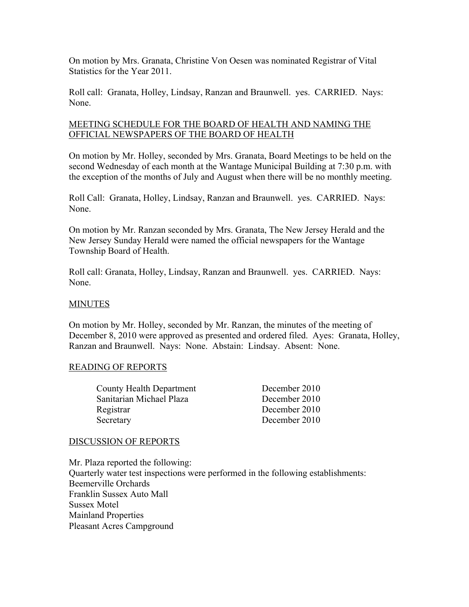On motion by Mrs. Granata, Christine Von Oesen was nominated Registrar of Vital Statistics for the Year 2011.

Roll call: Granata, Holley, Lindsay, Ranzan and Braunwell. yes. CARRIED. Nays: None.

### MEETING SCHEDULE FOR THE BOARD OF HEALTH AND NAMING THE OFFICIAL NEWSPAPERS OF THE BOARD OF HEALTH

On motion by Mr. Holley, seconded by Mrs. Granata, Board Meetings to be held on the second Wednesday of each month at the Wantage Municipal Building at 7:30 p.m. with the exception of the months of July and August when there will be no monthly meeting.

Roll Call: Granata, Holley, Lindsay, Ranzan and Braunwell. yes. CARRIED. Nays: None.

On motion by Mr. Ranzan seconded by Mrs. Granata, The New Jersey Herald and the New Jersey Sunday Herald were named the official newspapers for the Wantage Township Board of Health.

Roll call: Granata, Holley, Lindsay, Ranzan and Braunwell. yes. CARRIED. Nays: None.

#### **MINUTES**

On motion by Mr. Holley, seconded by Mr. Ranzan, the minutes of the meeting of December 8, 2010 were approved as presented and ordered filed. Ayes: Granata, Holley, Ranzan and Braunwell. Nays: None. Abstain: Lindsay. Absent: None.

#### READING OF REPORTS

| <b>County Health Department</b> | December 2010 |
|---------------------------------|---------------|
| Sanitarian Michael Plaza        | December 2010 |
| Registrar                       | December 2010 |
| Secretary                       | December 2010 |

#### DISCUSSION OF REPORTS

Mr. Plaza reported the following: Quarterly water test inspections were performed in the following establishments: Beemerville Orchards Franklin Sussex Auto Mall Sussex Motel Mainland Properties Pleasant Acres Campground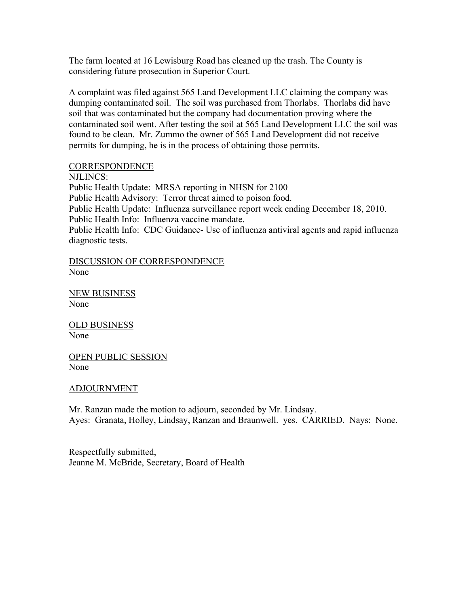The farm located at 16 Lewisburg Road has cleaned up the trash. The County is considering future prosecution in Superior Court.

A complaint was filed against 565 Land Development LLC claiming the company was dumping contaminated soil. The soil was purchased from Thorlabs. Thorlabs did have soil that was contaminated but the company had documentation proving where the contaminated soil went. After testing the soil at 565 Land Development LLC the soil was found to be clean. Mr. Zummo the owner of 565 Land Development did not receive permits for dumping, he is in the process of obtaining those permits.

### CORRESPONDENCE

NJLINCS: Public Health Update: MRSA reporting in NHSN for 2100 Public Health Advisory: Terror threat aimed to poison food. Public Health Update: Influenza surveillance report week ending December 18, 2010. Public Health Info: Influenza vaccine mandate. Public Health Info: CDC Guidance- Use of influenza antiviral agents and rapid influenza diagnostic tests.

DISCUSSION OF CORRESPONDENCE None

NEW BUSINESS None

OLD BUSINESS None

OPEN PUBLIC SESSION None

#### ADJOURNMENT

Mr. Ranzan made the motion to adjourn, seconded by Mr. Lindsay. Ayes: Granata, Holley, Lindsay, Ranzan and Braunwell. yes. CARRIED. Nays: None.

Respectfully submitted, Jeanne M. McBride, Secretary, Board of Health